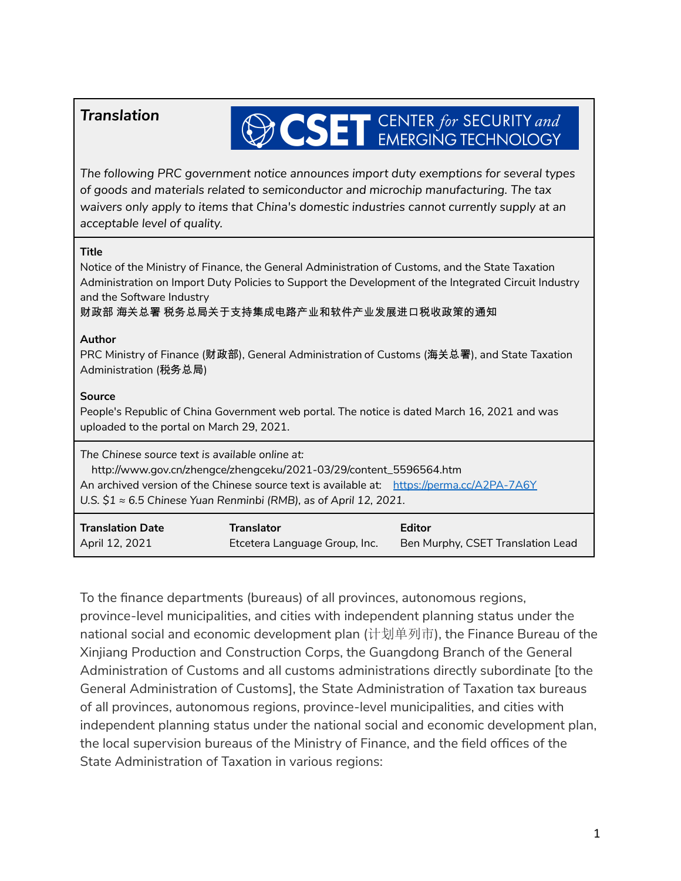## *Translation*

## **OCSET** CENTER for SECURITY and

*The following PRC government notice announces import duty exemptions for several types of goods and materials related to semiconductor and microchip manufacturing. The tax waivers only apply to items that China's domestic industries cannot currently supply at an acceptable level of quality.*

## **Title**

| Notice of the Ministry of Finance, the General Administration of Customs, and the State Taxation<br>Administration on Import Duty Policies to Support the Development of the Integrated Circuit Industry<br>and the Software Industry<br>财政部 海关总署 税务总局关于支持集成电路产业和软件产业发展进口税收政策的通知                |                                                    |                                                    |
|-------------------------------------------------------------------------------------------------------------------------------------------------------------------------------------------------------------------------------------------------------------------------------------------------|----------------------------------------------------|----------------------------------------------------|
| Author<br>PRC Ministry of Finance (财政部), General Administration of Customs (海关总署), and State Taxation<br>Administration (税务总局)                                                                                                                                                                  |                                                    |                                                    |
| Source<br>People's Republic of China Government web portal. The notice is dated March 16, 2021 and was<br>uploaded to the portal on March 29, 2021.                                                                                                                                             |                                                    |                                                    |
| The Chinese source text is available online at:<br>http://www.gov.cn/zhengce/zhengceku/2021-03/29/content_5596564.htm<br>An archived version of the Chinese source text is available at: https://perma.cc/A2PA-7A6Y<br>U.S. $$1 \approx 6.5$ Chinese Yuan Renminbi (RMB), as of April 12, 2021. |                                                    |                                                    |
| <b>Translation Date</b><br>April 12, 2021                                                                                                                                                                                                                                                       | <b>Translator</b><br>Etcetera Language Group, Inc. | <b>Editor</b><br>Ben Murphy, CSET Translation Lead |

To the finance departments (bureaus) of all provinces, autonomous regions, province-level municipalities, and cities with independent planning status under the national social and economic development plan (计划单列市), the Finance Bureau of the Xinjiang Production and Construction Corps, the Guangdong Branch of the General Administration of Customs and all customs administrations directly subordinate [to the General Administration of Customs], the State Administration of Taxation tax bureaus of all provinces, autonomous regions, province-level municipalities, and cities with independent planning status under the national social and economic development plan, the local supervision bureaus of the Ministry of Finance, and the field offices of the State Administration of Taxation in various regions: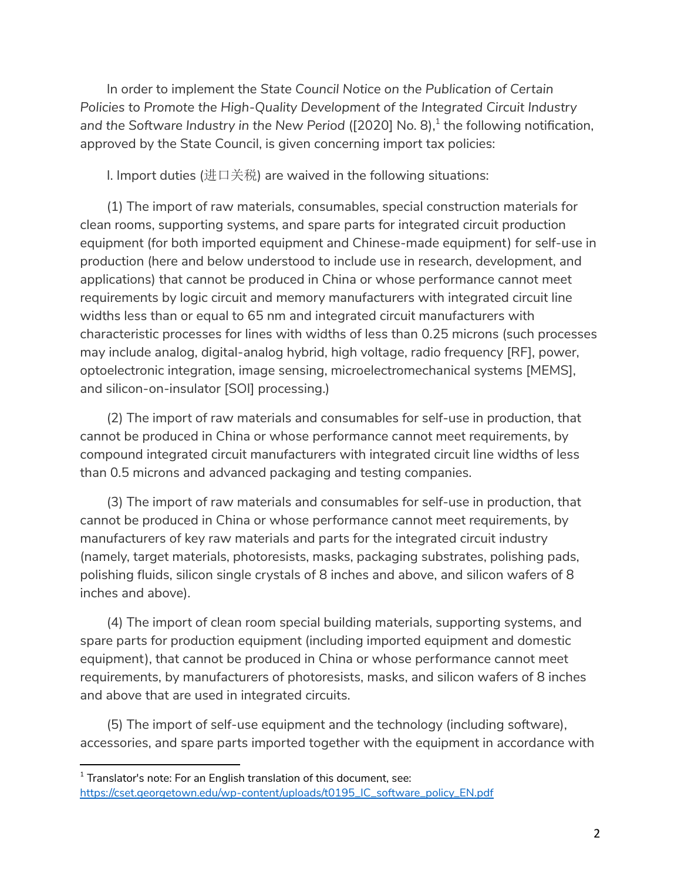In order to implement the *State Council Notice on the Publication of Certain Policies to Promote the High-Quality Development of the Integrated Circuit Industry and the Software Industry in the New Period* ([2020] No. 8), 1 the following notification, approved by the State Council, is given concerning import tax policies:

I. Import duties (进口关税) are waived in the following situations:

(1) The import of raw materials, consumables, special construction materials for clean rooms, supporting systems, and spare parts for integrated circuit production equipment (for both imported equipment and Chinese-made equipment) for self-use in production (here and below understood to include use in research, development, and applications) that cannot be produced in China or whose performance cannot meet requirements by logic circuit and memory manufacturers with integrated circuit line widths less than or equal to 65 nm and integrated circuit manufacturers with characteristic processes for lines with widths of less than 0.25 microns (such processes may include analog, digital-analog hybrid, high voltage, radio frequency [RF], power, optoelectronic integration, image sensing, microelectromechanical systems [MEMS], and silicon-on-insulator [SOI] processing.)

(2) The import of raw materials and consumables for self-use in production, that cannot be produced in China or whose performance cannot meet requirements, by compound integrated circuit manufacturers with integrated circuit line widths of less than 0.5 microns and advanced packaging and testing companies.

(3) The import of raw materials and consumables for self-use in production, that cannot be produced in China or whose performance cannot meet requirements, by manufacturers of key raw materials and parts for the integrated circuit industry (namely, target materials, photoresists, masks, packaging substrates, polishing pads, polishing fluids, silicon single crystals of 8 inches and above, and silicon wafers of 8 inches and above).

(4) The import of clean room special building materials, supporting systems, and spare parts for production equipment (including imported equipment and domestic equipment), that cannot be produced in China or whose performance cannot meet requirements, by manufacturers of photoresists, masks, and silicon wafers of 8 inches and above that are used in integrated circuits.

(5) The import of self-use equipment and the technology (including software), accessories, and spare parts imported together with the equipment in accordance with

 $1$  Translator's note: For an English translation of this document, see: [https://cset.georgetown.edu/wp-content/uploads/t0195\\_IC\\_software\\_policy\\_EN.pdf](https://cset.georgetown.edu/wp-content/uploads/t0195_IC_software_policy_EN.pdf)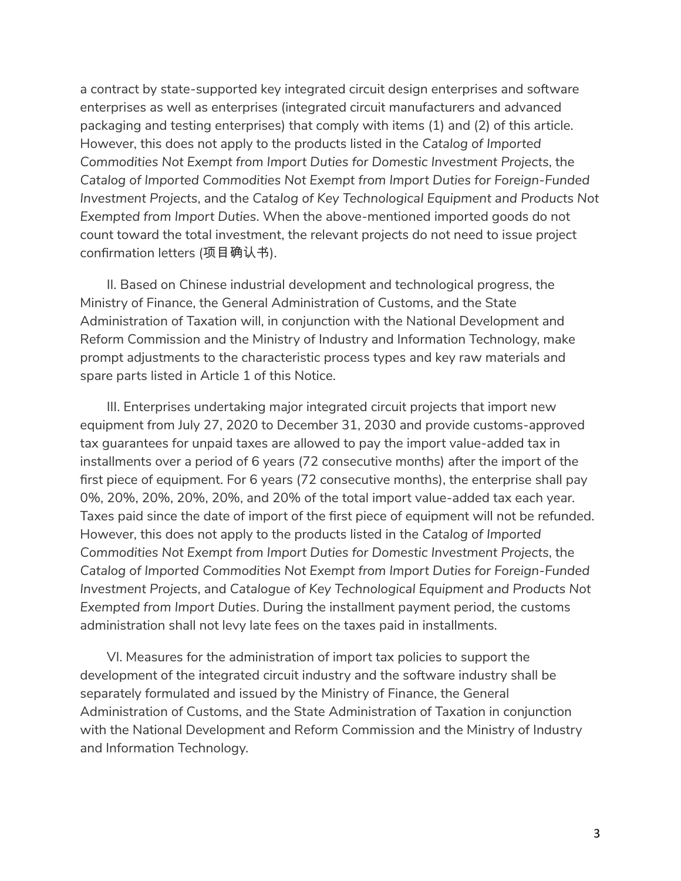a contract by state-supported key integrated circuit design enterprises and software enterprises as well as enterprises (integrated circuit manufacturers and advanced packaging and testing enterprises) that comply with items (1) and (2) of this article. However, this does not apply to the products listed in the *Catalog of Imported Commodities Not Exempt from Import Duties for Domestic Investment Projects*, the *Catalog of Imported Commodities Not Exempt from Import Duties for Foreign-Funded Investment Projects*, and the *Catalog of Key Technological Equipment and Products Not Exempted from Import Duties*. When the above-mentioned imported goods do not count toward the total investment, the relevant projects do not need to issue project confirmation letters (项目确认书).

II. Based on Chinese industrial development and technological progress, the Ministry of Finance, the General Administration of Customs, and the State Administration of Taxation will, in conjunction with the National Development and Reform Commission and the Ministry of Industry and Information Technology, make prompt adjustments to the characteristic process types and key raw materials and spare parts listed in Article 1 of this Notice.

III. Enterprises undertaking major integrated circuit projects that import new equipment from July 27, 2020 to December 31, 2030 and provide customs-approved tax guarantees for unpaid taxes are allowed to pay the import value-added tax in installments over a period of 6 years (72 consecutive months) after the import of the first piece of equipment. For 6 years (72 consecutive months), the enterprise shall pay 0%, 20%, 20%, 20%, 20%, and 20% of the total import value-added tax each year. Taxes paid since the date of import of the first piece of equipment will not be refunded. However, this does not apply to the products listed in the *Catalog of Imported Commodities Not Exempt from Import Duties for Domestic Investment Projects*, the *Catalog of Imported Commodities Not Exempt from Import Duties for Foreign-Funded Investment Projects*, and *Catalogue of Key Technological Equipment and Products Not Exempted from Import Duties*. During the installment payment period, the customs administration shall not levy late fees on the taxes paid in installments.

VI. Measures for the administration of import tax policies to support the development of the integrated circuit industry and the software industry shall be separately formulated and issued by the Ministry of Finance, the General Administration of Customs, and the State Administration of Taxation in conjunction with the National Development and Reform Commission and the Ministry of Industry and Information Technology.